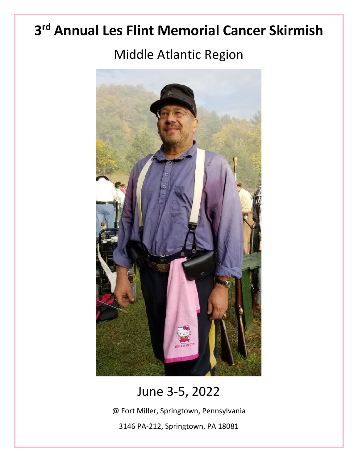# **3rd Annual Les Flint Memorial Cancer Skirmish**

## Middle Atlantic Region



## June 3-5, 2022

@ Fort Miller, Springtown, Pennsylvania

3146 PA-212, Springtown, PA 18081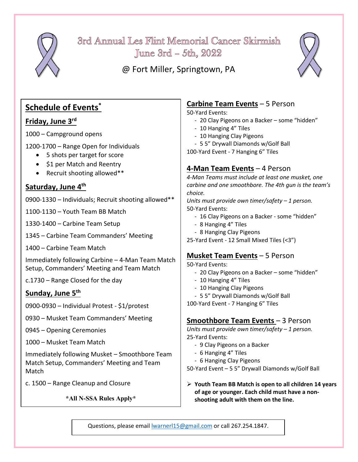

3rd Annual Les Flint Memorial Cancer Skirmish June  $3rd - 5th$ ,  $2022$ 

@ Fort Miller, Springtown, PA



## **Schedule of Events\***

#### **Friday, June 3rd**

1000 – Campground opens

1200-1700 – Range Open for Individuals

- 5 shots per target for score
- \$1 per Match and Reentry
- Recruit shooting allowed\*\*

#### **Saturday, June 4th**

0900-1330 – Individuals; Recruit shooting allowed\*\*

1100-1130 – Youth Team BB Match

1330-1400 – Carbine Team Setup

1345 – Carbine Team Commanders' Meeting

1400 – Carbine Team Match

Immediately following Carbine – 4-Man Team Match Setup, Commanders' Meeting and Team Match

c.1730 – Range Closed for the day

#### **Sunday, June 5th**

0900-0930 – Individual Protest - \$1/protest

0930 – Musket Team Commanders' Meeting

0945 – Opening Ceremonies

1000 – Musket Team Match

Immediately following Musket – Smoothbore Team Match Setup, Commanders' Meeting and Team Match

c. 1500 – Range Cleanup and Closure

**\*All N-SSA Rules Apply\***

### **Carbine Team Events** – 5 Person

50-Yard Events:

- 20 Clay Pigeons on a Backer some "hidden"
- 10 Hanging 4" Tiles
- 10 Hanging Clay Pigeons
- 5 5" Drywall Diamonds w/Golf Ball
- 100-Yard Event 7 Hanging 6" Tiles

#### **4-Man Team Events** – 4 Person

*4-Man Teams must include at least one musket, one carbine and one smoothbore. The 4th gun is the team's choice.* 

*Units must provide own timer/safety – 1 person.* 50-Yard Events:

- 16 Clay Pigeons on a Backer some "hidden"
- 8 Hanging 4" Tiles
- 8 Hanging Clay Pigeons
- 25-Yard Event 12 Small Mixed Tiles (<3")

### **Musket Team Events** – 5 Person

50-Yard Events:

- 20 Clay Pigeons on a Backer some "hidden"
- 10 Hanging 4" Tiles
- 10 Hanging Clay Pigeons
- 5 5" Drywall Diamonds w/Golf Ball

100-Yard Event - 7 Hanging 6" Tiles

#### **Smoothbore Team Events** – 3 Person

*Units must provide own timer/safety – 1 person.* 25-Yard Events:

- 9 Clay Pigeons on a Backer
- 6 Hanging 4" Tiles
- 6 Hanging Clay Pigeons

50-Yard Event – 5 5" Drywall Diamonds w/Golf Ball

 **Youth Team BB Match is open to all children 14 years of age or younger. Each child must have a nonshooting adult with them on the line.**

Questions, please email [lwarnerl15@gmail.com](mailto:lwarnerl15@gmail.com) or call 267.254.1847.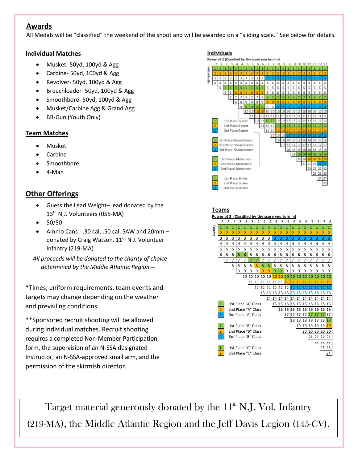#### **Awards**

All Medals will be "classified" the weekend of the shoot and will be awarded on a "sliding scale." See below for details.

#### **Individual Matches**

- Musket- 50yd, 100yd & Agg
- Carbine- 50yd, 100yd & Agg
- Revolver- 50yd, 100yd & Agg
- Breechloader- 50yd, 100yd & Agg
- Smoothbore- 50yd, 100yd & Agg
- Musket/Carbine Agg & Grand Agg
- BB-Gun (Youth Only)

#### **Team Matches**

- Musket
- **Carbine**
- Smoothbore
- 4-Man

#### **Other Offerings**

- Guess the Lead Weight– lead donated by the 13th N.J. Volunteers (055-MA)
- 50/50
- Ammo Cans .30 cal, .50 cal, SAW and 20mm donated by Craig Watson, 11<sup>th</sup> N.J. Volunteer Infantry (219-MA)

*--All proceeds will be donated to the charity of choice determined by the Middle Atlantic Region.--*

\*Times, uniform requirements, team events and targets may change depending on the weather and prevailing conditions.

\*\*Sponsored recruit shooting will be allowed during individual matches. Recruit shooting requires a completed Non-Member Participation form, the supervision of an N-SSA designated Instructor, an N-SSA-approved small arm, and the permission of the skirmish director.



Target material generously donated by the  $11<sup>th</sup>$  N.J. Vol. Infantry (219-MA), the Middle Atlantic Region and the Jeff Davis Legion (145-CV).